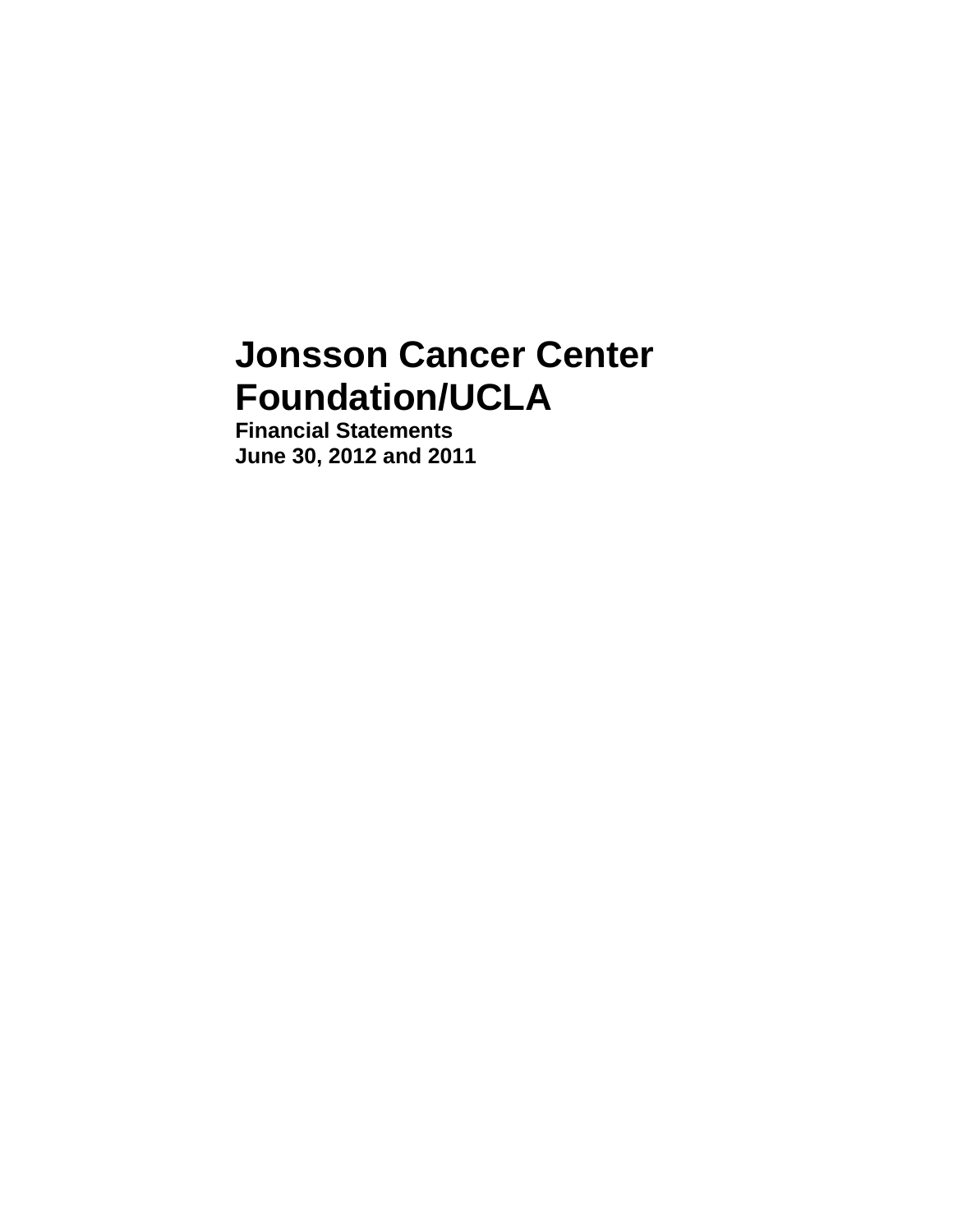# **Jonsson Cancer Center Foundation/UCLA**

**Financial Statements June 30, 2012 and 2011**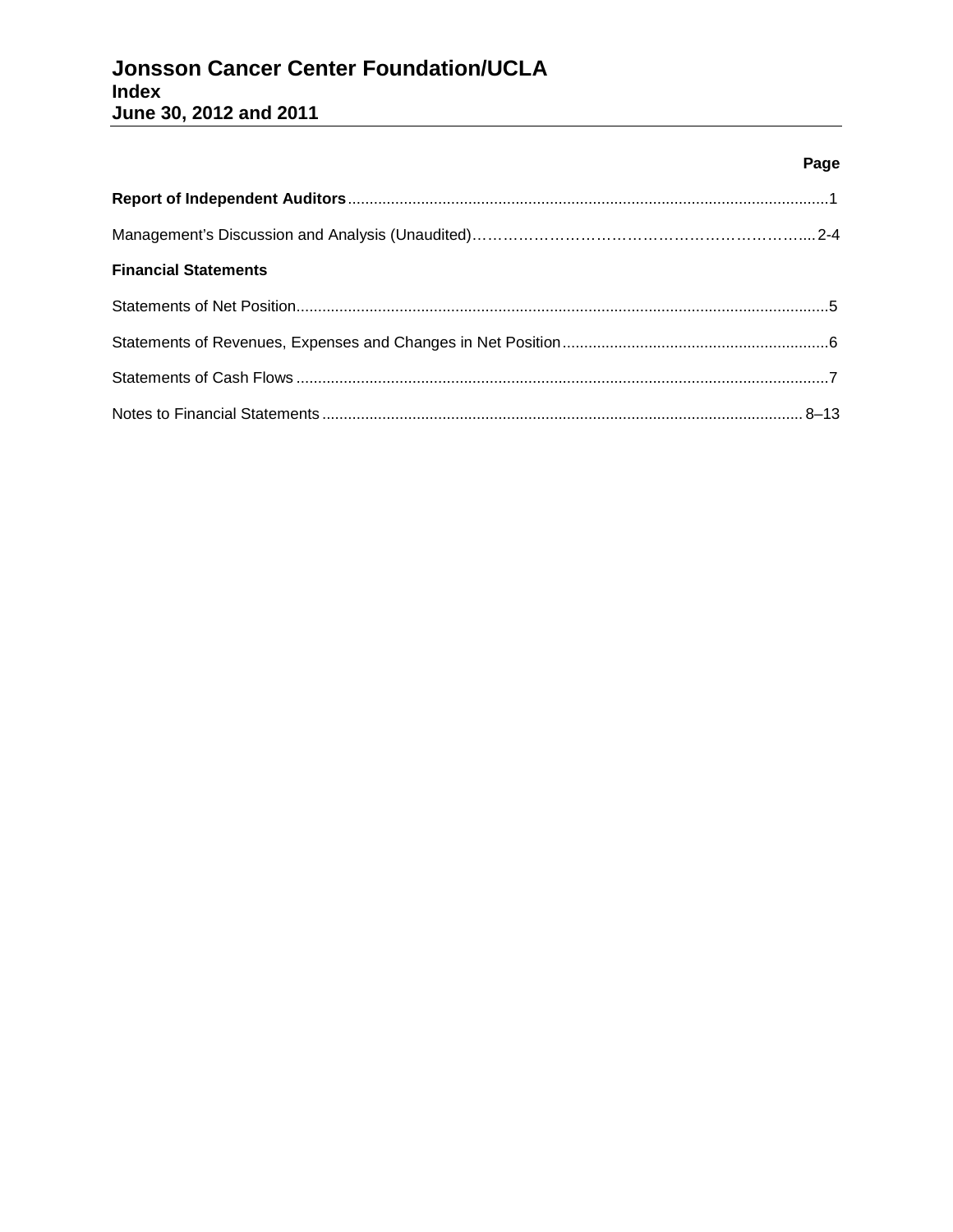# **Jonsson Cancer Center Foundation/UCLA Index June 30, 2012 and 2011**

# **Page**

| <b>Financial Statements</b> |
|-----------------------------|
|                             |
|                             |
|                             |
|                             |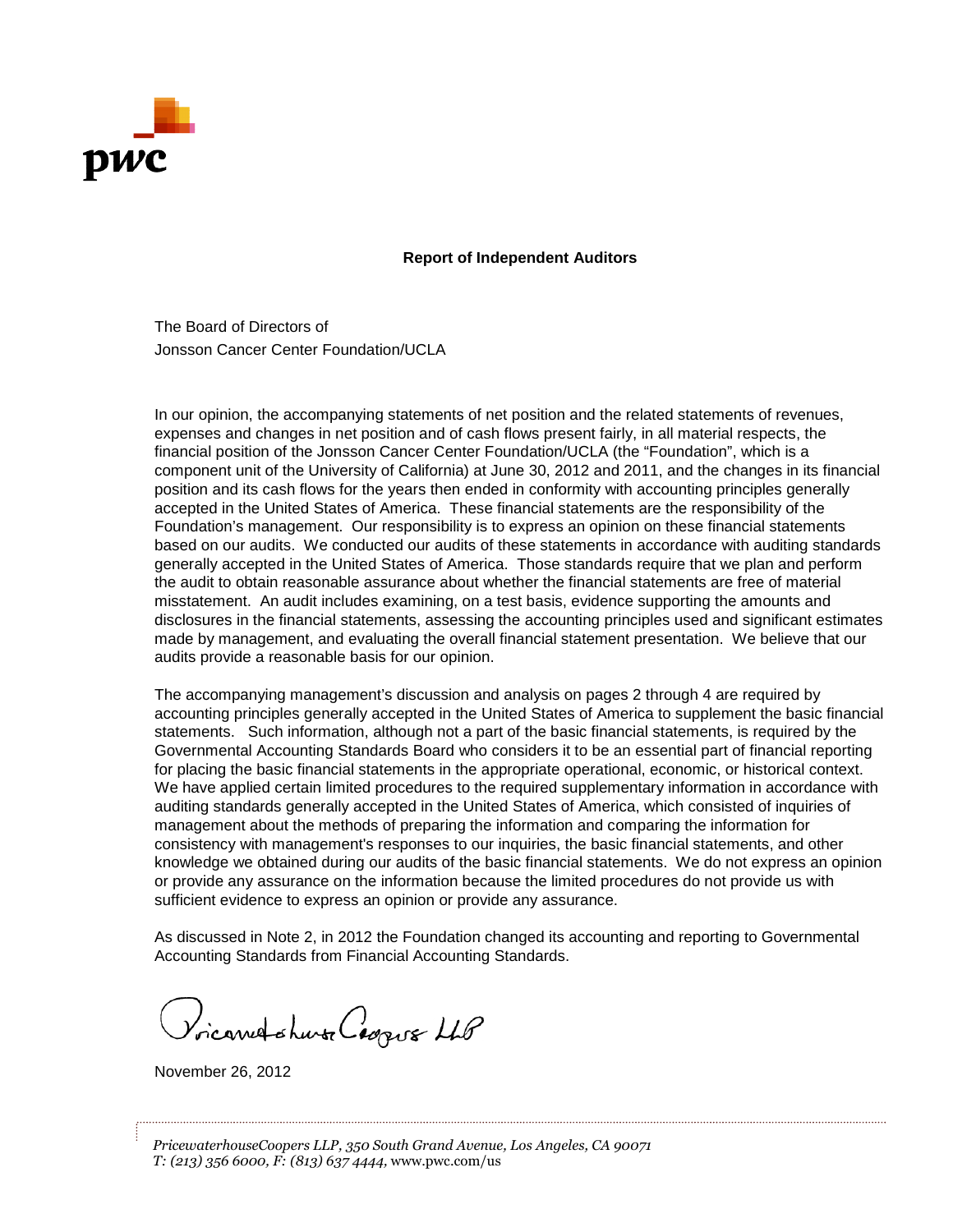

## **Report of Independent Auditors**

The Board of Directors of Jonsson Cancer Center Foundation/UCLA

In our opinion, the accompanying statements of net position and the related statements of revenues, expenses and changes in net position and of cash flows present fairly, in all material respects, the financial position of the Jonsson Cancer Center Foundation/UCLA (the "Foundation", which is a component unit of the University of California) at June 30, 2012 and 2011, and the changes in its financial position and its cash flows for the years then ended in conformity with accounting principles generally accepted in the United States of America. These financial statements are the responsibility of the Foundation's management. Our responsibility is to express an opinion on these financial statements based on our audits. We conducted our audits of these statements in accordance with auditing standards generally accepted in the United States of America. Those standards require that we plan and perform the audit to obtain reasonable assurance about whether the financial statements are free of material misstatement. An audit includes examining, on a test basis, evidence supporting the amounts and disclosures in the financial statements, assessing the accounting principles used and significant estimates made by management, and evaluating the overall financial statement presentation. We believe that our audits provide a reasonable basis for our opinion.

The accompanying management's discussion and analysis on pages 2 through 4 are required by accounting principles generally accepted in the United States of America to supplement the basic financial statements. Such information, although not a part of the basic financial statements, is required by the Governmental Accounting Standards Board who considers it to be an essential part of financial reporting for placing the basic financial statements in the appropriate operational, economic, or historical context. We have applied certain limited procedures to the required supplementary information in accordance with auditing standards generally accepted in the United States of America, which consisted of inquiries of management about the methods of preparing the information and comparing the information for consistency with management's responses to our inquiries, the basic financial statements, and other knowledge we obtained during our audits of the basic financial statements. We do not express an opinion or provide any assurance on the information because the limited procedures do not provide us with sufficient evidence to express an opinion or provide any assurance.

As discussed in Note 2, in 2012 the Foundation changed its accounting and reporting to Governmental Accounting Standards from Financial Accounting Standards.

Voicarred charge Coopus LLP

November 26, 2012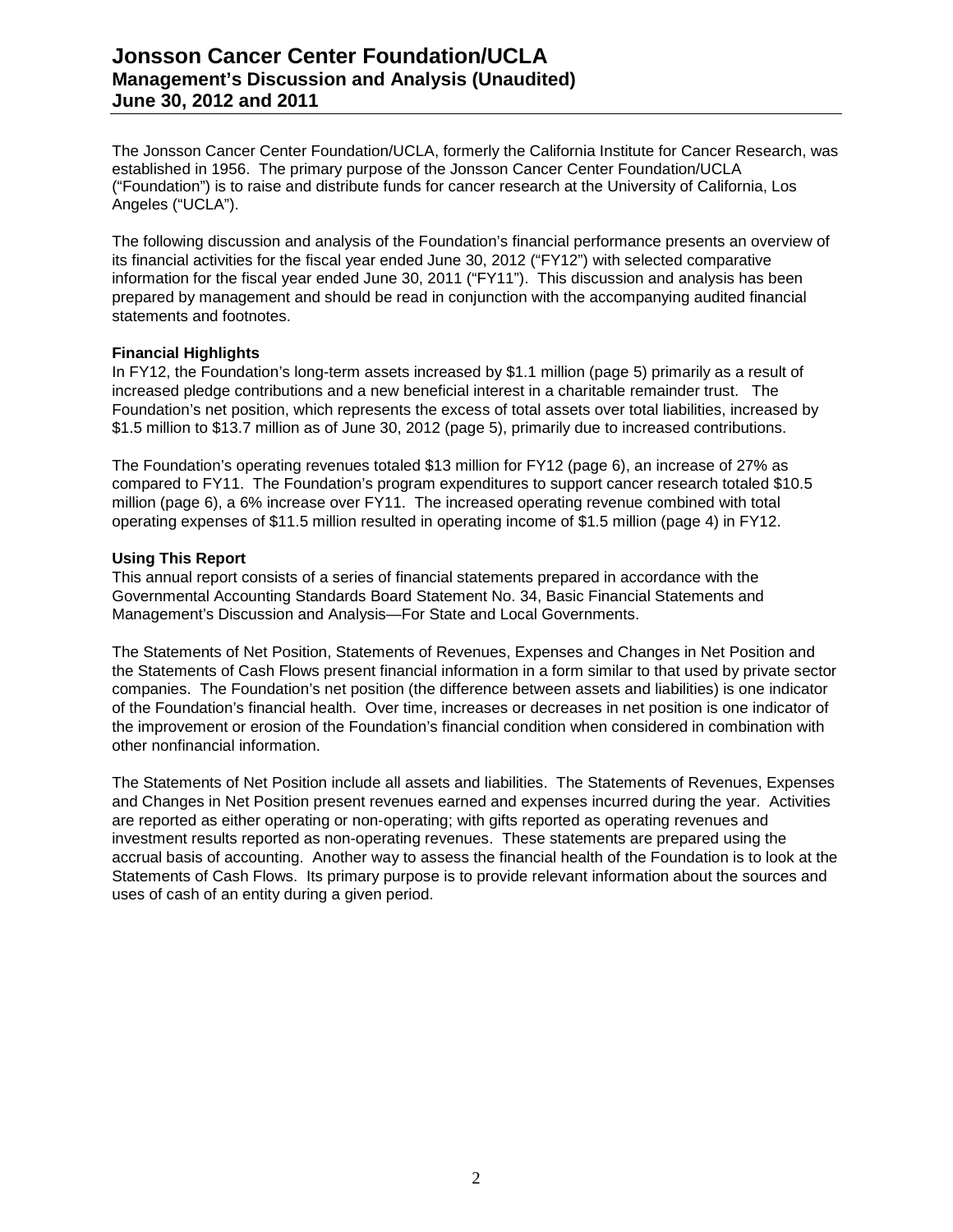The Jonsson Cancer Center Foundation/UCLA, formerly the California Institute for Cancer Research, was established in 1956. The primary purpose of the Jonsson Cancer Center Foundation/UCLA ("Foundation") is to raise and distribute funds for cancer research at the University of California, Los Angeles ("UCLA").

The following discussion and analysis of the Foundation's financial performance presents an overview of its financial activities for the fiscal year ended June 30, 2012 ("FY12") with selected comparative information for the fiscal year ended June 30, 2011 ("FY11"). This discussion and analysis has been prepared by management and should be read in conjunction with the accompanying audited financial statements and footnotes.

#### **Financial Highlights**

In FY12, the Foundation's long-term assets increased by \$1.1 million (page 5) primarily as a result of increased pledge contributions and a new beneficial interest in a charitable remainder trust. The Foundation's net position, which represents the excess of total assets over total liabilities, increased by \$1.5 million to \$13.7 million as of June 30, 2012 (page 5), primarily due to increased contributions.

The Foundation's operating revenues totaled \$13 million for FY12 (page 6), an increase of 27% as compared to FY11. The Foundation's program expenditures to support cancer research totaled \$10.5 million (page 6), a 6% increase over FY11. The increased operating revenue combined with total operating expenses of \$11.5 million resulted in operating income of \$1.5 million (page 4) in FY12.

# **Using This Report**

This annual report consists of a series of financial statements prepared in accordance with the Governmental Accounting Standards Board Statement No. 34, Basic Financial Statements and Management's Discussion and Analysis—For State and Local Governments.

The Statements of Net Position, Statements of Revenues, Expenses and Changes in Net Position and the Statements of Cash Flows present financial information in a form similar to that used by private sector companies. The Foundation's net position (the difference between assets and liabilities) is one indicator of the Foundation's financial health. Over time, increases or decreases in net position is one indicator of the improvement or erosion of the Foundation's financial condition when considered in combination with other nonfinancial information.

The Statements of Net Position include all assets and liabilities. The Statements of Revenues, Expenses and Changes in Net Position present revenues earned and expenses incurred during the year. Activities are reported as either operating or non-operating; with gifts reported as operating revenues and investment results reported as non-operating revenues. These statements are prepared using the accrual basis of accounting. Another way to assess the financial health of the Foundation is to look at the Statements of Cash Flows. Its primary purpose is to provide relevant information about the sources and uses of cash of an entity during a given period.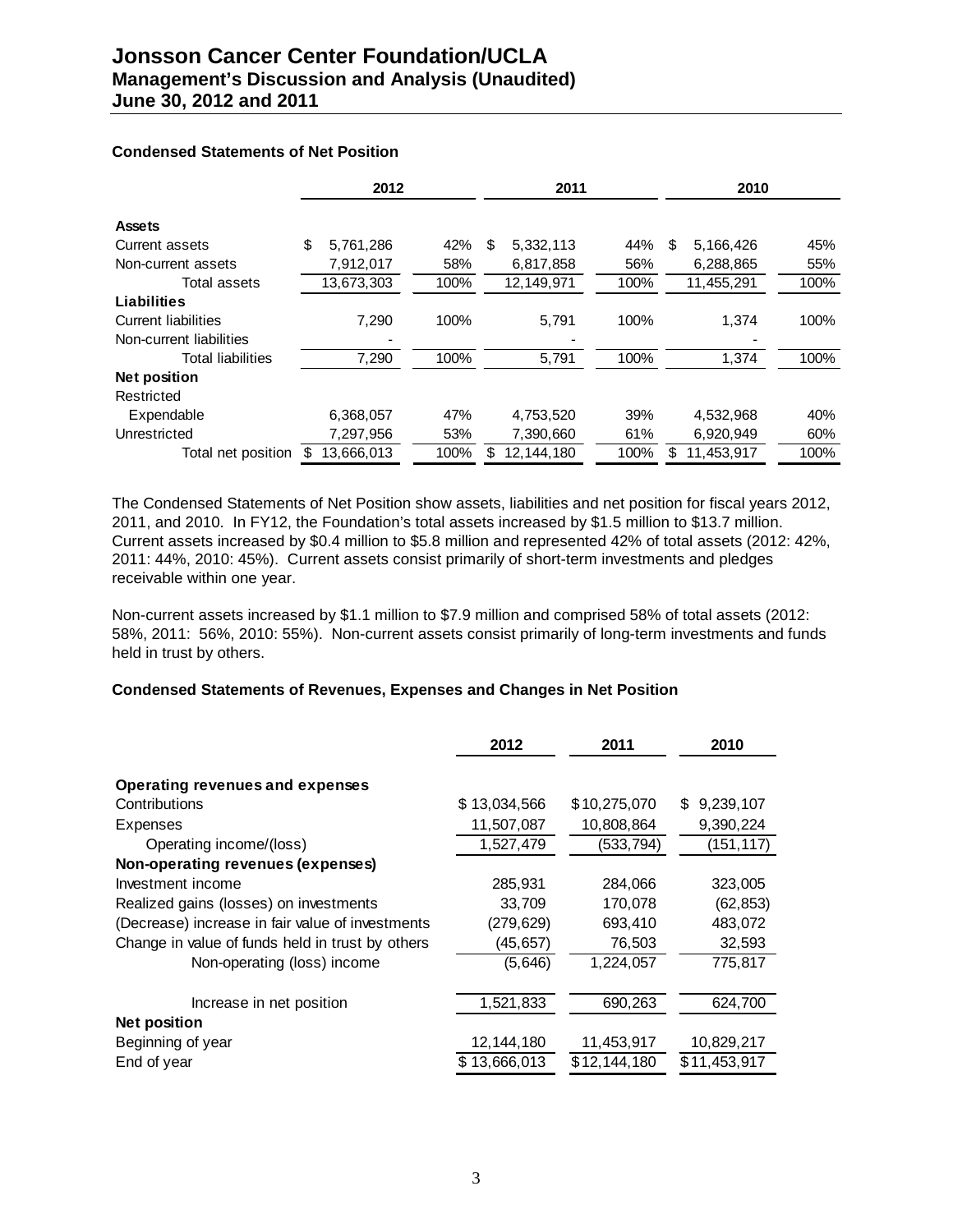# **Jonsson Cancer Center Foundation/UCLA Management's Discussion and Analysis (Unaudited) June 30, 2012 and 2011**

#### **Condensed Statements of Net Position**

|                            | 2012            |      | 2011             |      | 2010             |      |
|----------------------------|-----------------|------|------------------|------|------------------|------|
| <b>Assets</b>              |                 |      |                  |      |                  |      |
| Current assets             | \$<br>5,761,286 | 42%  | \$.<br>5,332,113 | 44%  | 5,166,426<br>S   | 45%  |
| Non-current assets         | 7,912,017       | 58%  | 6,817,858        | 56%  | 6,288,865        | 55%  |
| <b>Total assets</b>        | 13,673,303      | 100% | 12,149,971       | 100% | 11,455,291       | 100% |
| Liabilities                |                 |      |                  |      |                  |      |
| <b>Current liabilities</b> | 7,290           | 100% | 5,791            | 100% | 1,374            | 100% |
| Non-current liabilities    |                 |      |                  |      |                  |      |
| <b>Total liabilities</b>   | 7,290           | 100% | 5,791            | 100% | 1,374            | 100% |
| Net position               |                 |      |                  |      |                  |      |
| Restricted                 |                 |      |                  |      |                  |      |
| Expendable                 | 6,368,057       | 47%  | 4,753,520        | 39%  | 4,532,968        | 40%  |
| Unrestricted               | 7,297,956       | 53%  | 7,390,660        | 61%  | 6,920,949        | 60%  |
| Total net position         | 13.666.013      | 100% | 12.144.180       | 100% | 11.453.917<br>\$ | 100% |

The Condensed Statements of Net Position show assets, liabilities and net position for fiscal years 2012, 2011, and 2010. In FY12, the Foundation's total assets increased by \$1.5 million to \$13.7 million. Current assets increased by \$0.4 million to \$5.8 million and represented 42% of total assets (2012: 42%, 2011: 44%, 2010: 45%). Current assets consist primarily of short-term investments and pledges receivable within one year.

Non-current assets increased by \$1.1 million to \$7.9 million and comprised 58% of total assets (2012: 58%, 2011: 56%, 2010: 55%). Non-current assets consist primarily of long-term investments and funds held in trust by others.

#### **Condensed Statements of Revenues, Expenses and Changes in Net Position**

|                                                  | 2012         | 2011         | 2010             |
|--------------------------------------------------|--------------|--------------|------------------|
| Operating revenues and expenses                  |              |              |                  |
| Contributions                                    | \$13,034,566 | \$10,275,070 | 9,239,107<br>\$. |
| Expenses                                         | 11,507,087   | 10,808,864   | 9,390,224        |
| Operating income/(loss)                          | 1,527,479    | (533, 794)   | (151, 117)       |
| Non-operating revenues (expenses)                |              |              |                  |
| Investment income                                | 285,931      | 284,066      | 323,005          |
| Realized gains (losses) on investments           | 33,709       | 170,078      | (62, 853)        |
| (Decrease) increase in fair value of investments | (279, 629)   | 693,410      | 483,072          |
| Change in value of funds held in trust by others | (45, 657)    | 76,503       | 32,593           |
| Non-operating (loss) income                      | (5,646)      | 1,224,057    | 775,817          |
| Increase in net position                         | 1,521,833    | 690,263      | 624,700          |
| Net position                                     |              |              |                  |
| Beginning of year                                | 12, 144, 180 | 11,453,917   | 10,829,217       |
| End of year                                      | \$13,666,013 | \$12,144,180 | \$11,453,917     |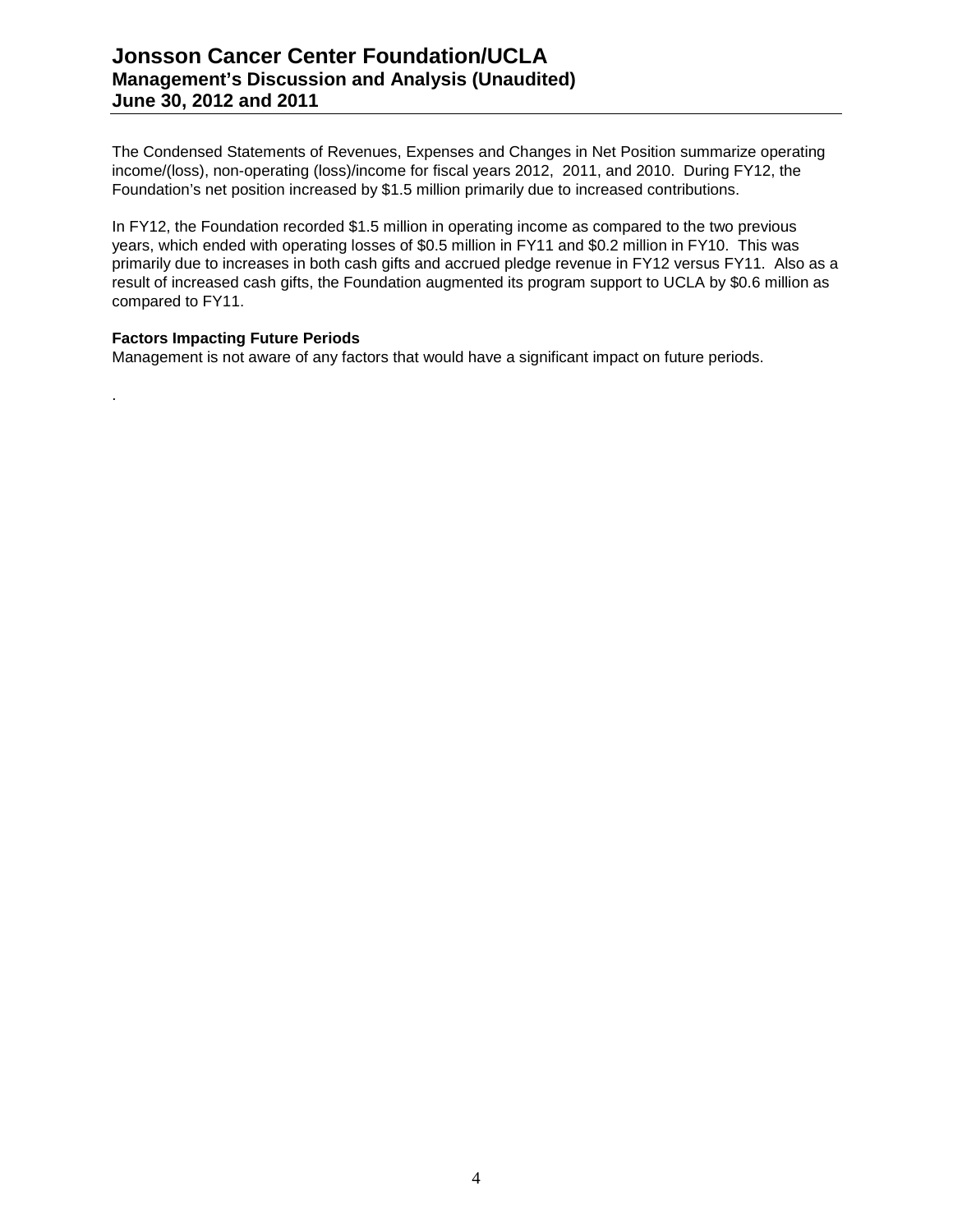The Condensed Statements of Revenues, Expenses and Changes in Net Position summarize operating income/(loss), non-operating (loss)/income for fiscal years 2012, 2011, and 2010. During FY12, the Foundation's net position increased by \$1.5 million primarily due to increased contributions.

In FY12, the Foundation recorded \$1.5 million in operating income as compared to the two previous years, which ended with operating losses of \$0.5 million in FY11 and \$0.2 million in FY10. This was primarily due to increases in both cash gifts and accrued pledge revenue in FY12 versus FY11. Also as a result of increased cash gifts, the Foundation augmented its program support to UCLA by \$0.6 million as compared to FY11.

## **Factors Impacting Future Periods**

.

Management is not aware of any factors that would have a significant impact on future periods.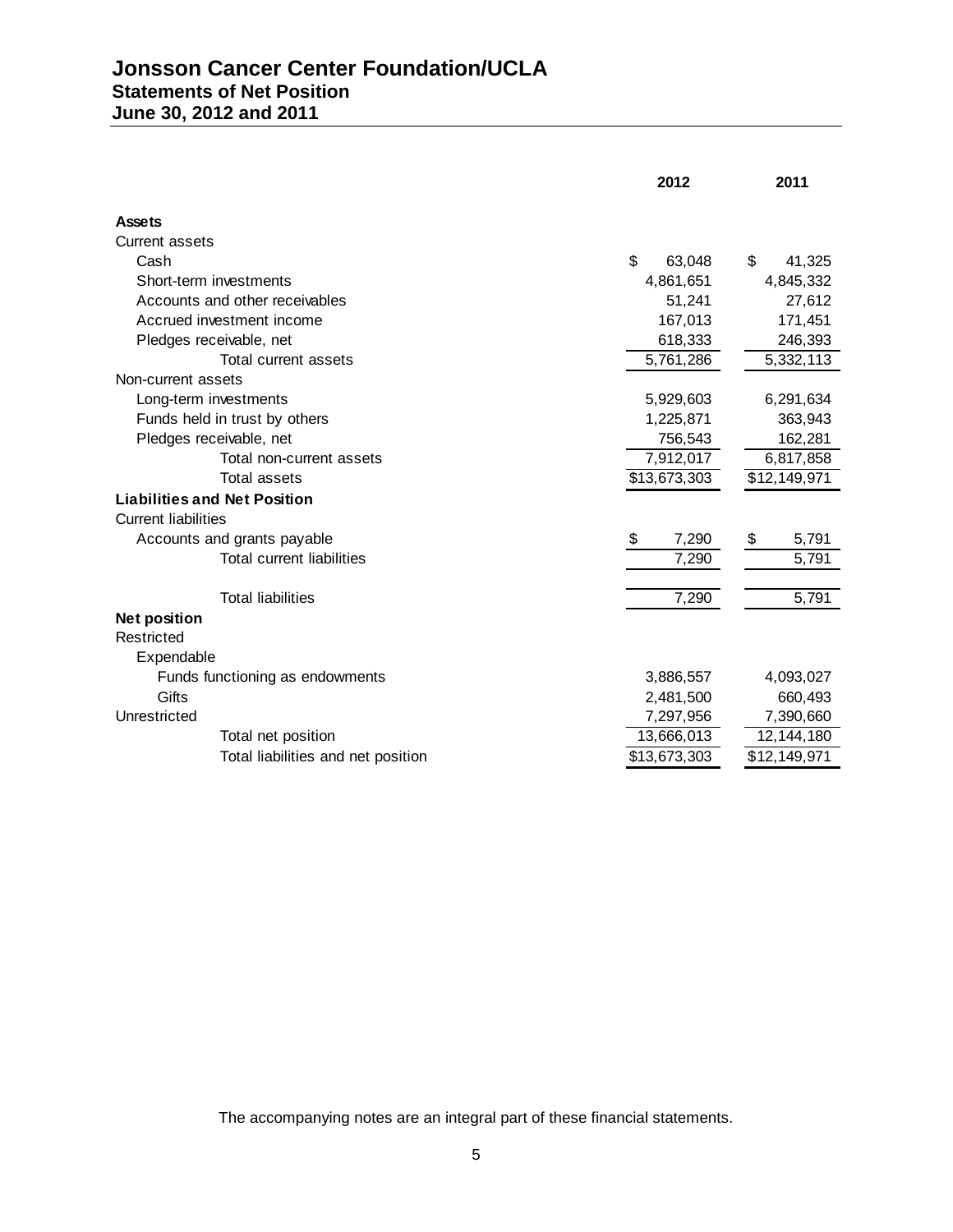# **Jonsson Cancer Center Foundation/UCLA Statements of Net Position June 30, 2012 and 2011**

|                                     | 2012         | 2011         |
|-------------------------------------|--------------|--------------|
| <b>Assets</b>                       |              |              |
| <b>Current assets</b>               |              |              |
| Cash                                | \$<br>63,048 | \$<br>41,325 |
| Short-term investments              | 4,861,651    | 4,845,332    |
| Accounts and other receivables      | 51,241       | 27,612       |
| Accrued investment income           | 167,013      | 171,451      |
| Pledges receivable, net             | 618,333      | 246,393      |
| Total current assets                | 5,761,286    | 5,332,113    |
| Non-current assets                  |              |              |
| Long-term investments               | 5,929,603    | 6,291,634    |
| Funds held in trust by others       | 1,225,871    | 363,943      |
| Pledges receivable, net             | 756,543      | 162,281      |
| Total non-current assets            | 7,912,017    | 6,817,858    |
| Total assets                        | \$13,673,303 | \$12,149,971 |
|                                     |              |              |
| <b>Liabilities and Net Position</b> |              |              |
| <b>Current liabilities</b>          |              |              |
| Accounts and grants payable         | \$<br>7,290  | \$<br>5,791  |
| <b>Total current liabilities</b>    | 7,290        | 5,791        |
| <b>Total liabilities</b>            | 7,290        | 5,791        |
| <b>Net position</b>                 |              |              |
| Restricted                          |              |              |
| Expendable                          |              |              |
| Funds functioning as endowments     | 3,886,557    | 4,093,027    |
| Gifts                               | 2,481,500    | 660,493      |
| Unrestricted                        | 7,297,956    | 7,390,660    |
| Total net position                  | 13,666,013   | 12, 144, 180 |
| Total liabilities and net position  | \$13,673,303 | \$12,149,971 |
|                                     |              |              |

The accompanying notes are an integral part of these financial statements.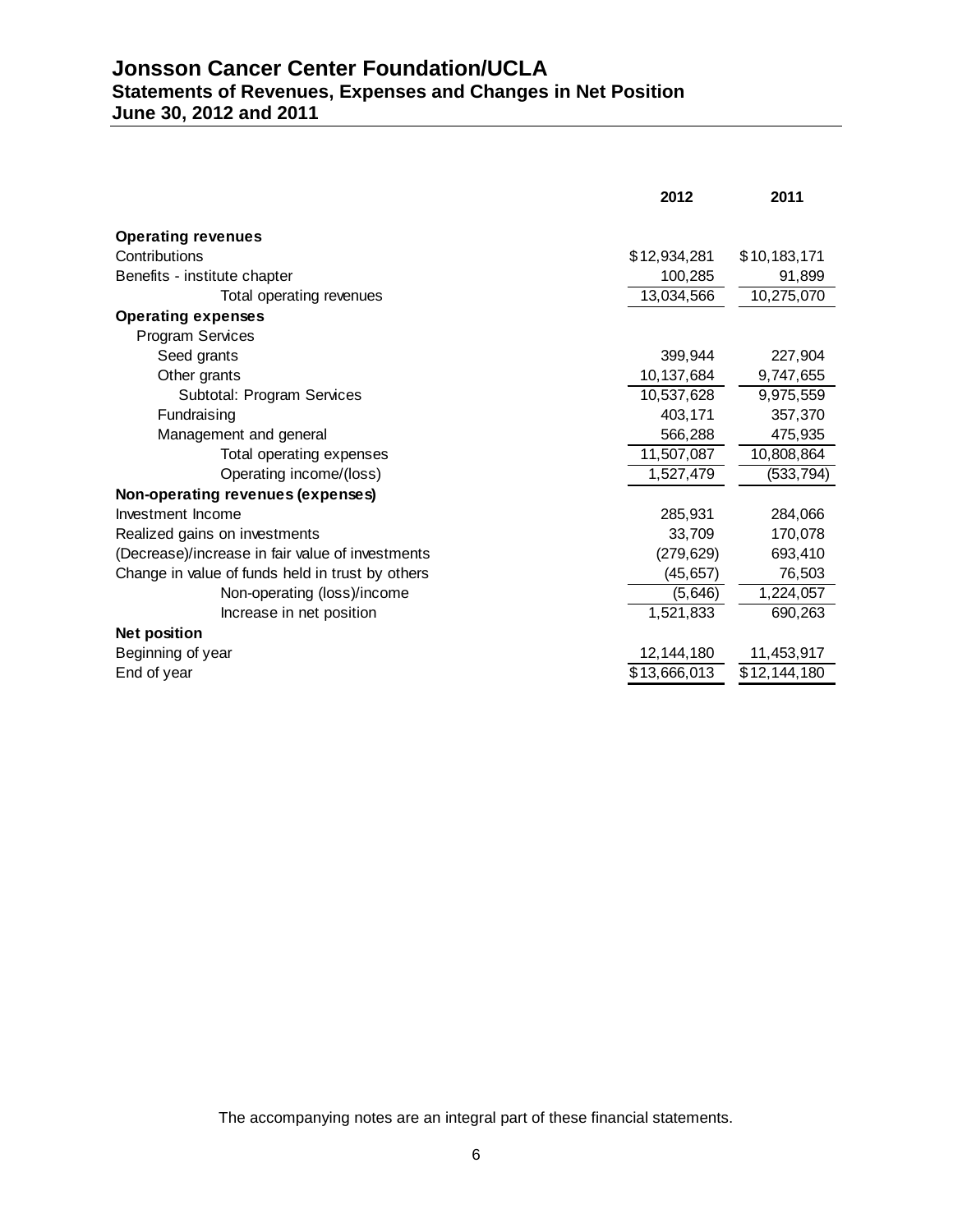# **Jonsson Cancer Center Foundation/UCLA Statements of Revenues, Expenses and Changes in Net Position June 30, 2012 and 2011**

| <b>Operating revenues</b><br>Contributions<br>\$10,183,171<br>\$12,934,281<br>100,285<br>91,899<br>Benefits - institute chapter<br>10,275,070<br>13,034,566<br>Total operating revenues<br><b>Operating expenses</b><br><b>Program Services</b><br>399,944<br>227,904<br>Seed grants<br>10,137,684<br>9,747,655<br>Other grants<br>10,537,628<br>9,975,559<br>Subtotal: Program Services<br>Fundraising<br>403,171<br>357,370<br>Management and general<br>566,288<br>475,935<br>11,507,087<br>10,808,864<br>Total operating expenses<br>1,527,479<br>(533,794)<br>Operating income/(loss)<br>Non-operating revenues (expenses)<br>Investment Income<br>285,931<br>284,066<br>Realized gains on investments<br>33,709<br>170,078<br>(Decrease)/increase in fair value of investments<br>(279, 629)<br>693,410<br>Change in value of funds held in trust by others<br>(45, 657)<br>76,503<br>(5, 646)<br>Non-operating (loss)/income<br>1,224,057<br>1,521,833<br>690,263<br>Increase in net position<br><b>Net position</b><br>12, 144, 180<br>11,453,917<br>\$13,666,013<br>\$12, 144, 180<br>End of year |                   | 2012 | 2011 |
|------------------------------------------------------------------------------------------------------------------------------------------------------------------------------------------------------------------------------------------------------------------------------------------------------------------------------------------------------------------------------------------------------------------------------------------------------------------------------------------------------------------------------------------------------------------------------------------------------------------------------------------------------------------------------------------------------------------------------------------------------------------------------------------------------------------------------------------------------------------------------------------------------------------------------------------------------------------------------------------------------------------------------------------------------------------------------------------------------------|-------------------|------|------|
|                                                                                                                                                                                                                                                                                                                                                                                                                                                                                                                                                                                                                                                                                                                                                                                                                                                                                                                                                                                                                                                                                                            |                   |      |      |
|                                                                                                                                                                                                                                                                                                                                                                                                                                                                                                                                                                                                                                                                                                                                                                                                                                                                                                                                                                                                                                                                                                            |                   |      |      |
|                                                                                                                                                                                                                                                                                                                                                                                                                                                                                                                                                                                                                                                                                                                                                                                                                                                                                                                                                                                                                                                                                                            |                   |      |      |
|                                                                                                                                                                                                                                                                                                                                                                                                                                                                                                                                                                                                                                                                                                                                                                                                                                                                                                                                                                                                                                                                                                            |                   |      |      |
|                                                                                                                                                                                                                                                                                                                                                                                                                                                                                                                                                                                                                                                                                                                                                                                                                                                                                                                                                                                                                                                                                                            |                   |      |      |
|                                                                                                                                                                                                                                                                                                                                                                                                                                                                                                                                                                                                                                                                                                                                                                                                                                                                                                                                                                                                                                                                                                            |                   |      |      |
|                                                                                                                                                                                                                                                                                                                                                                                                                                                                                                                                                                                                                                                                                                                                                                                                                                                                                                                                                                                                                                                                                                            |                   |      |      |
|                                                                                                                                                                                                                                                                                                                                                                                                                                                                                                                                                                                                                                                                                                                                                                                                                                                                                                                                                                                                                                                                                                            |                   |      |      |
|                                                                                                                                                                                                                                                                                                                                                                                                                                                                                                                                                                                                                                                                                                                                                                                                                                                                                                                                                                                                                                                                                                            |                   |      |      |
|                                                                                                                                                                                                                                                                                                                                                                                                                                                                                                                                                                                                                                                                                                                                                                                                                                                                                                                                                                                                                                                                                                            |                   |      |      |
|                                                                                                                                                                                                                                                                                                                                                                                                                                                                                                                                                                                                                                                                                                                                                                                                                                                                                                                                                                                                                                                                                                            |                   |      |      |
|                                                                                                                                                                                                                                                                                                                                                                                                                                                                                                                                                                                                                                                                                                                                                                                                                                                                                                                                                                                                                                                                                                            |                   |      |      |
|                                                                                                                                                                                                                                                                                                                                                                                                                                                                                                                                                                                                                                                                                                                                                                                                                                                                                                                                                                                                                                                                                                            |                   |      |      |
|                                                                                                                                                                                                                                                                                                                                                                                                                                                                                                                                                                                                                                                                                                                                                                                                                                                                                                                                                                                                                                                                                                            |                   |      |      |
|                                                                                                                                                                                                                                                                                                                                                                                                                                                                                                                                                                                                                                                                                                                                                                                                                                                                                                                                                                                                                                                                                                            |                   |      |      |
|                                                                                                                                                                                                                                                                                                                                                                                                                                                                                                                                                                                                                                                                                                                                                                                                                                                                                                                                                                                                                                                                                                            |                   |      |      |
|                                                                                                                                                                                                                                                                                                                                                                                                                                                                                                                                                                                                                                                                                                                                                                                                                                                                                                                                                                                                                                                                                                            |                   |      |      |
|                                                                                                                                                                                                                                                                                                                                                                                                                                                                                                                                                                                                                                                                                                                                                                                                                                                                                                                                                                                                                                                                                                            |                   |      |      |
|                                                                                                                                                                                                                                                                                                                                                                                                                                                                                                                                                                                                                                                                                                                                                                                                                                                                                                                                                                                                                                                                                                            |                   |      |      |
|                                                                                                                                                                                                                                                                                                                                                                                                                                                                                                                                                                                                                                                                                                                                                                                                                                                                                                                                                                                                                                                                                                            |                   |      |      |
|                                                                                                                                                                                                                                                                                                                                                                                                                                                                                                                                                                                                                                                                                                                                                                                                                                                                                                                                                                                                                                                                                                            |                   |      |      |
|                                                                                                                                                                                                                                                                                                                                                                                                                                                                                                                                                                                                                                                                                                                                                                                                                                                                                                                                                                                                                                                                                                            | Beginning of year |      |      |
|                                                                                                                                                                                                                                                                                                                                                                                                                                                                                                                                                                                                                                                                                                                                                                                                                                                                                                                                                                                                                                                                                                            |                   |      |      |

The accompanying notes are an integral part of these financial statements.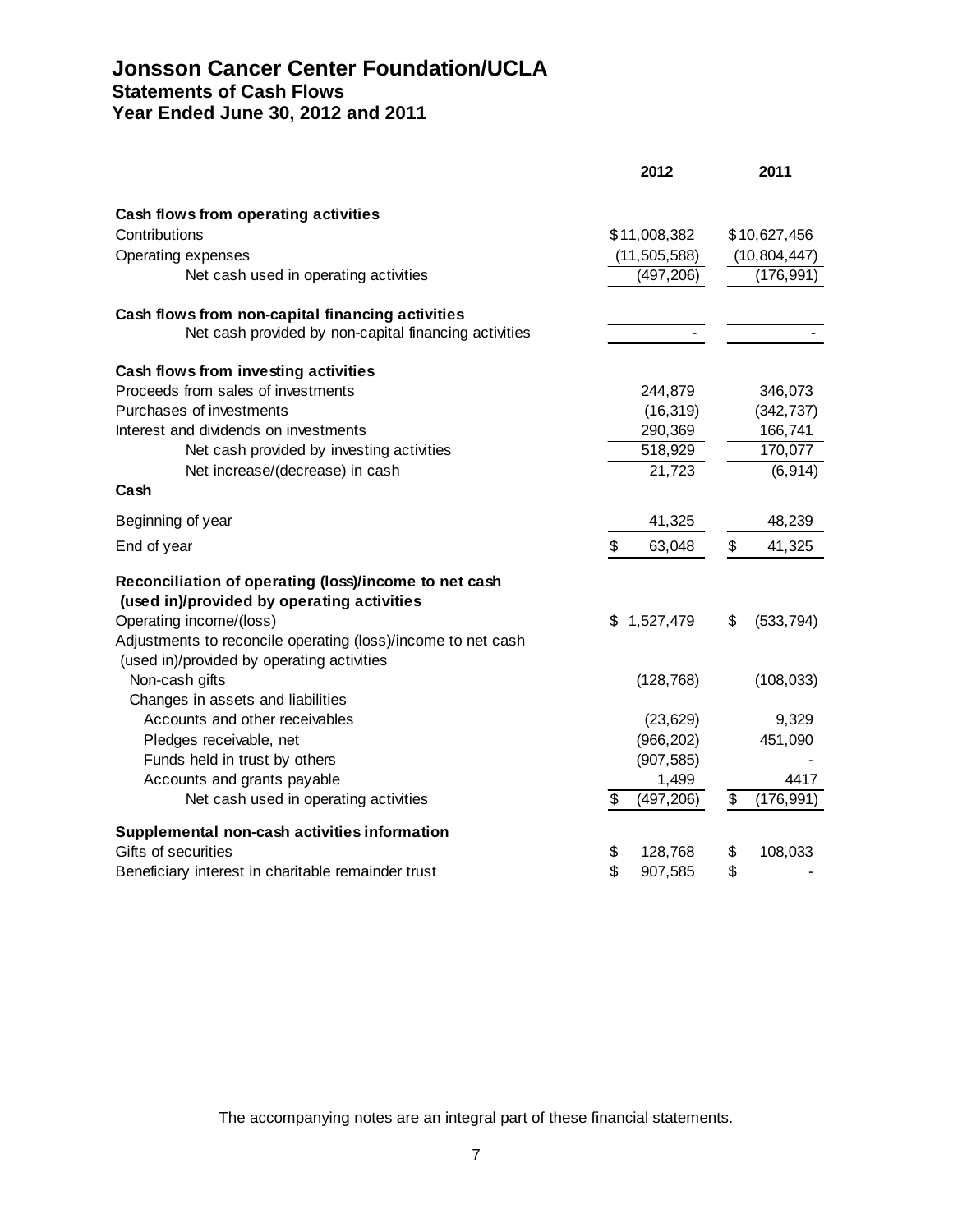# **Jonsson Cancer Center Foundation/UCLA Statements of Cash Flows Year Ended June 30, 2012 and 2011**

|                                                                                                            | 2012             | 2011             |
|------------------------------------------------------------------------------------------------------------|------------------|------------------|
| Cash flows from operating activities                                                                       |                  |                  |
| Contributions                                                                                              | \$11,008,382     | \$10,627,456     |
| Operating expenses                                                                                         | (11, 505, 588)   | (10, 804, 447)   |
| Net cash used in operating activities                                                                      | (497, 206)       | (176, 991)       |
| Cash flows from non-capital financing activities                                                           |                  |                  |
| Net cash provided by non-capital financing activities                                                      |                  |                  |
| Cash flows from investing activities                                                                       |                  |                  |
| Proceeds from sales of investments                                                                         | 244,879          | 346,073          |
| Purchases of investments                                                                                   | (16, 319)        | (342, 737)       |
| Interest and dividends on investments                                                                      | 290,369          | 166,741          |
| Net cash provided by investing activities                                                                  | 518,929          | 170,077          |
| Net increase/(decrease) in cash                                                                            | 21,723           | (6, 914)         |
| Cash                                                                                                       |                  |                  |
| Beginning of year                                                                                          | 41,325           | 48,239           |
| End of year                                                                                                | \$<br>63,048     | \$<br>41,325     |
| Reconciliation of operating (loss)/income to net cash                                                      |                  |                  |
| (used in)/provided by operating activities                                                                 |                  |                  |
| Operating income/(loss)                                                                                    | 1,527,479<br>S   | (533, 794)<br>\$ |
| Adjustments to reconcile operating (loss)/income to net cash<br>(used in)/provided by operating activities |                  |                  |
| Non-cash gifts                                                                                             | (128, 768)       | (108, 033)       |
| Changes in assets and liabilities                                                                          |                  |                  |
| Accounts and other receivables                                                                             | (23, 629)        | 9,329            |
| Pledges receivable, net                                                                                    | (966, 202)       | 451,090          |
| Funds held in trust by others                                                                              | (907, 585)       |                  |
| Accounts and grants payable                                                                                | 1,499            | 4417             |
| Net cash used in operating activities                                                                      | \$<br>(497, 206) | \$<br>(176, 991) |
| Supplemental non-cash activities information                                                               |                  |                  |
| Gifts of securities                                                                                        | 128,768<br>\$    | 108,033<br>\$    |
| Beneficiary interest in charitable remainder trust                                                         | \$<br>907,585    | \$               |

The accompanying notes are an integral part of these financial statements.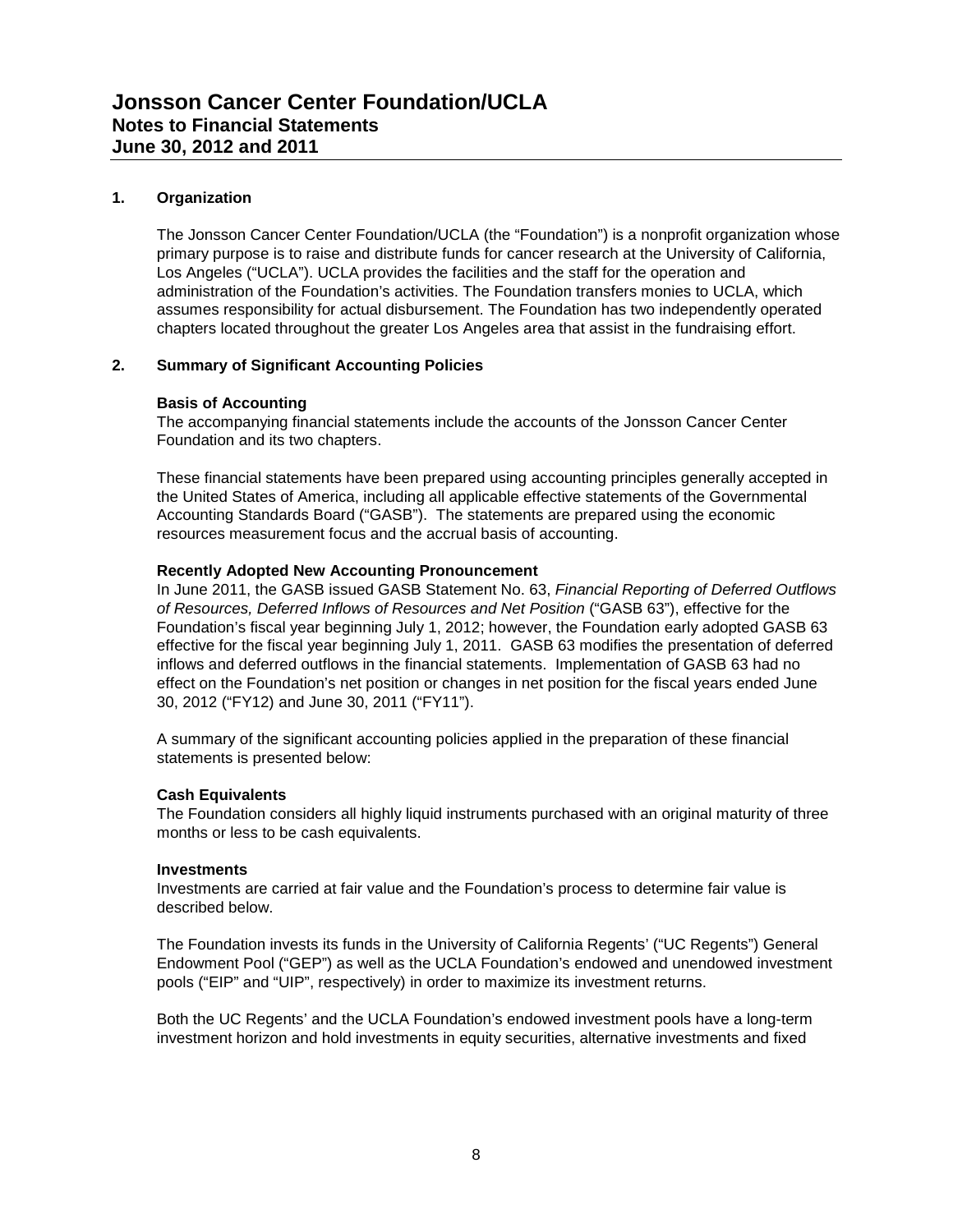## **1. Organization**

The Jonsson Cancer Center Foundation/UCLA (the "Foundation") is a nonprofit organization whose primary purpose is to raise and distribute funds for cancer research at the University of California, Los Angeles ("UCLA"). UCLA provides the facilities and the staff for the operation and administration of the Foundation's activities. The Foundation transfers monies to UCLA, which assumes responsibility for actual disbursement. The Foundation has two independently operated chapters located throughout the greater Los Angeles area that assist in the fundraising effort.

## **2. Summary of Significant Accounting Policies**

#### **Basis of Accounting**

The accompanying financial statements include the accounts of the Jonsson Cancer Center Foundation and its two chapters.

These financial statements have been prepared using accounting principles generally accepted in the United States of America, including all applicable effective statements of the Governmental Accounting Standards Board ("GASB"). The statements are prepared using the economic resources measurement focus and the accrual basis of accounting.

## **Recently Adopted New Accounting Pronouncement**

In June 2011, the GASB issued GASB Statement No. 63, *Financial Reporting of Deferred Outflows of Resources, Deferred Inflows of Resources and Net Position* ("GASB 63"), effective for the Foundation's fiscal year beginning July 1, 2012; however, the Foundation early adopted GASB 63 effective for the fiscal year beginning July 1, 2011. GASB 63 modifies the presentation of deferred inflows and deferred outflows in the financial statements. Implementation of GASB 63 had no effect on the Foundation's net position or changes in net position for the fiscal years ended June 30, 2012 ("FY12) and June 30, 2011 ("FY11").

A summary of the significant accounting policies applied in the preparation of these financial statements is presented below:

#### **Cash Equivalents**

The Foundation considers all highly liquid instruments purchased with an original maturity of three months or less to be cash equivalents.

#### **Investments**

Investments are carried at fair value and the Foundation's process to determine fair value is described below.

The Foundation invests its funds in the University of California Regents' ("UC Regents") General Endowment Pool ("GEP") as well as the UCLA Foundation's endowed and unendowed investment pools ("EIP" and "UIP", respectively) in order to maximize its investment returns.

Both the UC Regents' and the UCLA Foundation's endowed investment pools have a long-term investment horizon and hold investments in equity securities, alternative investments and fixed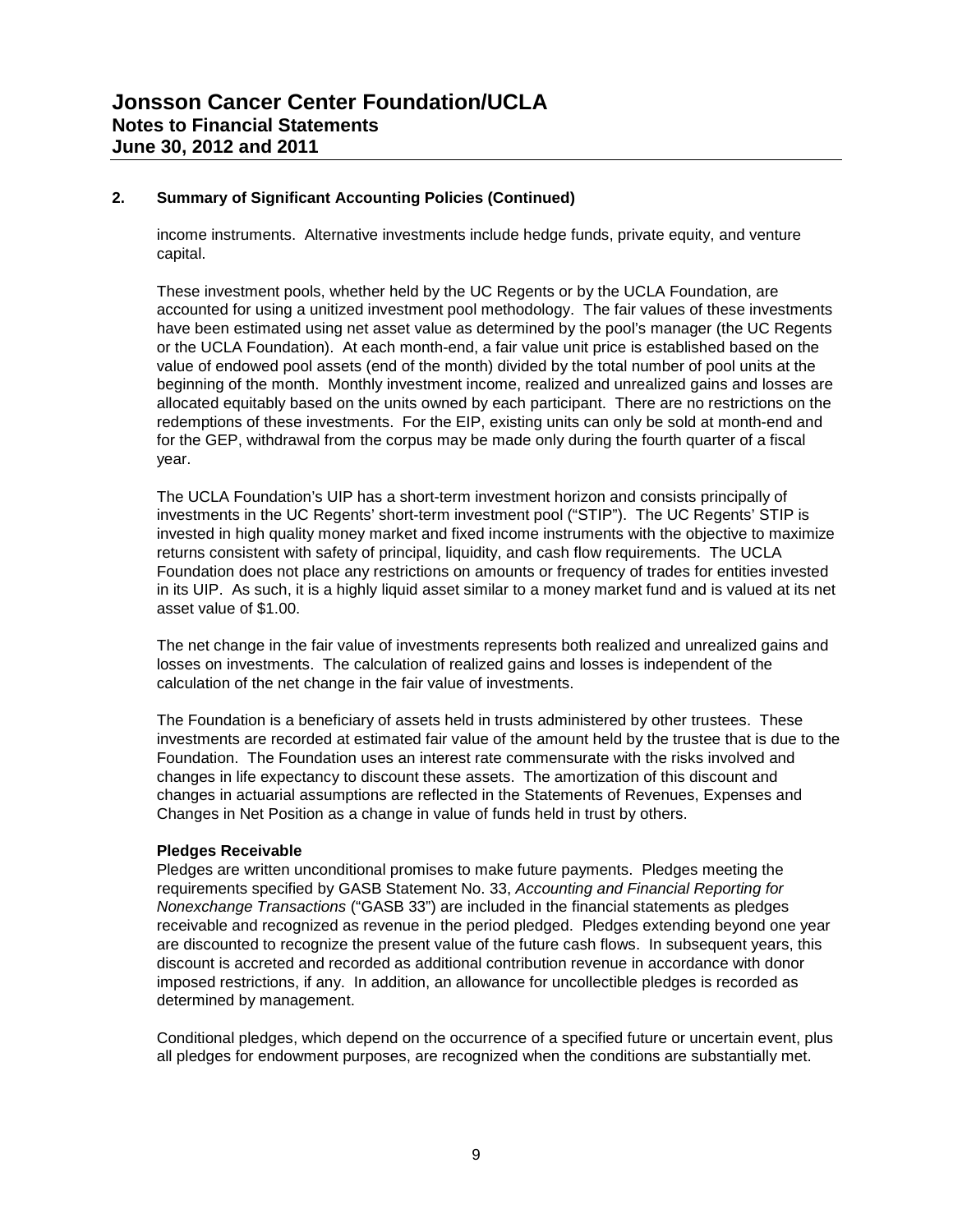# **2. Summary of Significant Accounting Policies (Continued)**

income instruments. Alternative investments include hedge funds, private equity, and venture capital.

These investment pools, whether held by the UC Regents or by the UCLA Foundation, are accounted for using a unitized investment pool methodology. The fair values of these investments have been estimated using net asset value as determined by the pool's manager (the UC Regents or the UCLA Foundation). At each month-end, a fair value unit price is established based on the value of endowed pool assets (end of the month) divided by the total number of pool units at the beginning of the month. Monthly investment income, realized and unrealized gains and losses are allocated equitably based on the units owned by each participant. There are no restrictions on the redemptions of these investments. For the EIP, existing units can only be sold at month-end and for the GEP, withdrawal from the corpus may be made only during the fourth quarter of a fiscal year.

The UCLA Foundation's UIP has a short-term investment horizon and consists principally of investments in the UC Regents' short-term investment pool ("STIP"). The UC Regents' STIP is invested in high quality money market and fixed income instruments with the objective to maximize returns consistent with safety of principal, liquidity, and cash flow requirements. The UCLA Foundation does not place any restrictions on amounts or frequency of trades for entities invested in its UIP. As such, it is a highly liquid asset similar to a money market fund and is valued at its net asset value of \$1.00.

The net change in the fair value of investments represents both realized and unrealized gains and losses on investments. The calculation of realized gains and losses is independent of the calculation of the net change in the fair value of investments.

The Foundation is a beneficiary of assets held in trusts administered by other trustees. These investments are recorded at estimated fair value of the amount held by the trustee that is due to the Foundation. The Foundation uses an interest rate commensurate with the risks involved and changes in life expectancy to discount these assets. The amortization of this discount and changes in actuarial assumptions are reflected in the Statements of Revenues, Expenses and Changes in Net Position as a change in value of funds held in trust by others.

#### **Pledges Receivable**

Pledges are written unconditional promises to make future payments. Pledges meeting the requirements specified by GASB Statement No. 33, *Accounting and Financial Reporting for Nonexchange Transactions* ("GASB 33") are included in the financial statements as pledges receivable and recognized as revenue in the period pledged. Pledges extending beyond one year are discounted to recognize the present value of the future cash flows. In subsequent years, this discount is accreted and recorded as additional contribution revenue in accordance with donor imposed restrictions, if any. In addition, an allowance for uncollectible pledges is recorded as determined by management.

Conditional pledges, which depend on the occurrence of a specified future or uncertain event, plus all pledges for endowment purposes, are recognized when the conditions are substantially met.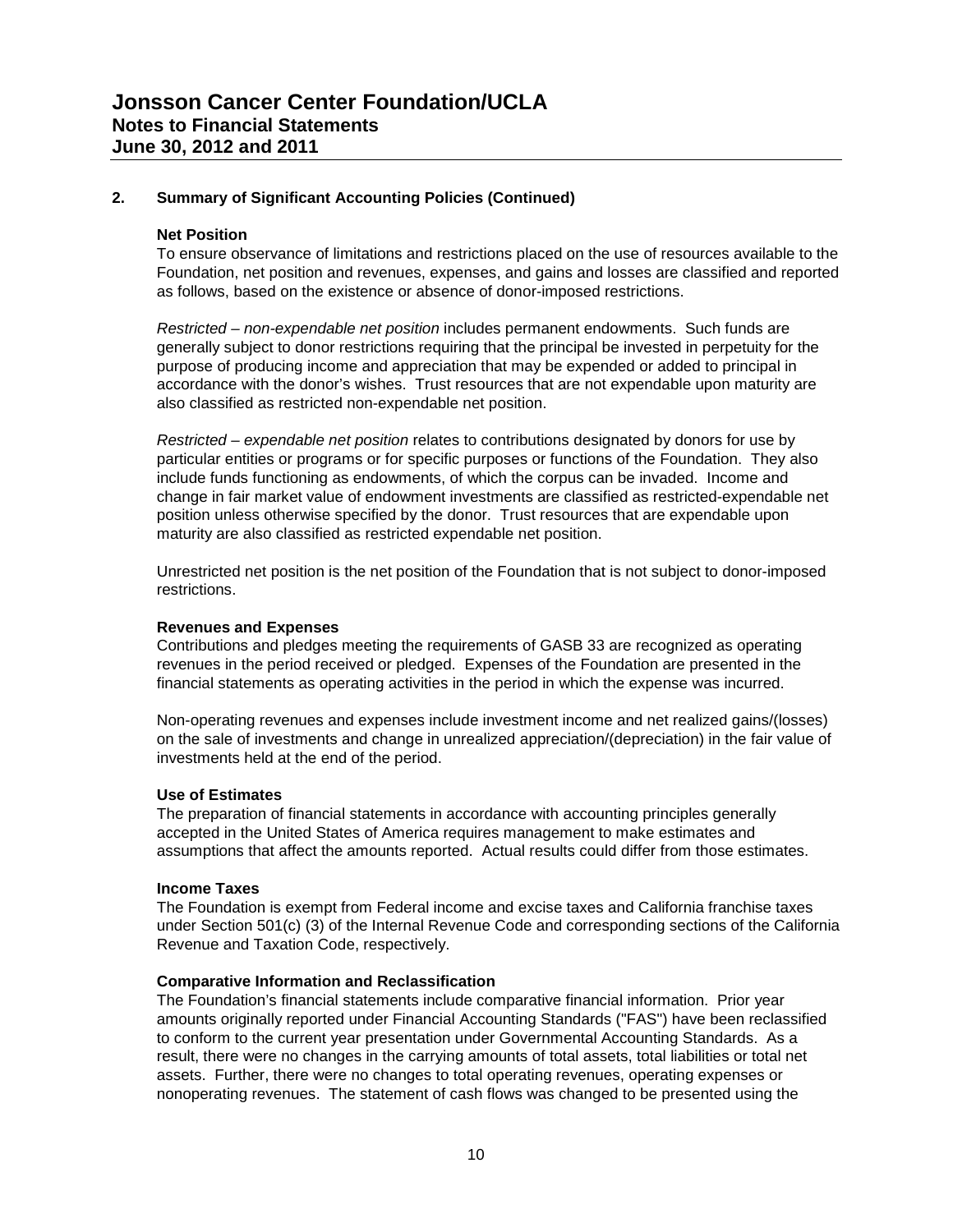# **2. Summary of Significant Accounting Policies (Continued)**

#### **Net Position**

To ensure observance of limitations and restrictions placed on the use of resources available to the Foundation, net position and revenues, expenses, and gains and losses are classified and reported as follows, based on the existence or absence of donor-imposed restrictions.

*Restricted – non-expendable net position* includes permanent endowments. Such funds are generally subject to donor restrictions requiring that the principal be invested in perpetuity for the purpose of producing income and appreciation that may be expended or added to principal in accordance with the donor's wishes. Trust resources that are not expendable upon maturity are also classified as restricted non-expendable net position.

*Restricted – expendable net position* relates to contributions designated by donors for use by particular entities or programs or for specific purposes or functions of the Foundation. They also include funds functioning as endowments, of which the corpus can be invaded. Income and change in fair market value of endowment investments are classified as restricted-expendable net position unless otherwise specified by the donor. Trust resources that are expendable upon maturity are also classified as restricted expendable net position.

Unrestricted net position is the net position of the Foundation that is not subject to donor-imposed restrictions.

#### **Revenues and Expenses**

Contributions and pledges meeting the requirements of GASB 33 are recognized as operating revenues in the period received or pledged. Expenses of the Foundation are presented in the financial statements as operating activities in the period in which the expense was incurred.

Non-operating revenues and expenses include investment income and net realized gains/(losses) on the sale of investments and change in unrealized appreciation/(depreciation) in the fair value of investments held at the end of the period.

## **Use of Estimates**

The preparation of financial statements in accordance with accounting principles generally accepted in the United States of America requires management to make estimates and assumptions that affect the amounts reported. Actual results could differ from those estimates.

#### **Income Taxes**

The Foundation is exempt from Federal income and excise taxes and California franchise taxes under Section 501(c) (3) of the Internal Revenue Code and corresponding sections of the California Revenue and Taxation Code, respectively.

#### **Comparative Information and Reclassification**

The Foundation's financial statements include comparative financial information. Prior year amounts originally reported under Financial Accounting Standards ("FAS") have been reclassified to conform to the current year presentation under Governmental Accounting Standards. As a result, there were no changes in the carrying amounts of total assets, total liabilities or total net assets. Further, there were no changes to total operating revenues, operating expenses or nonoperating revenues. The statement of cash flows was changed to be presented using the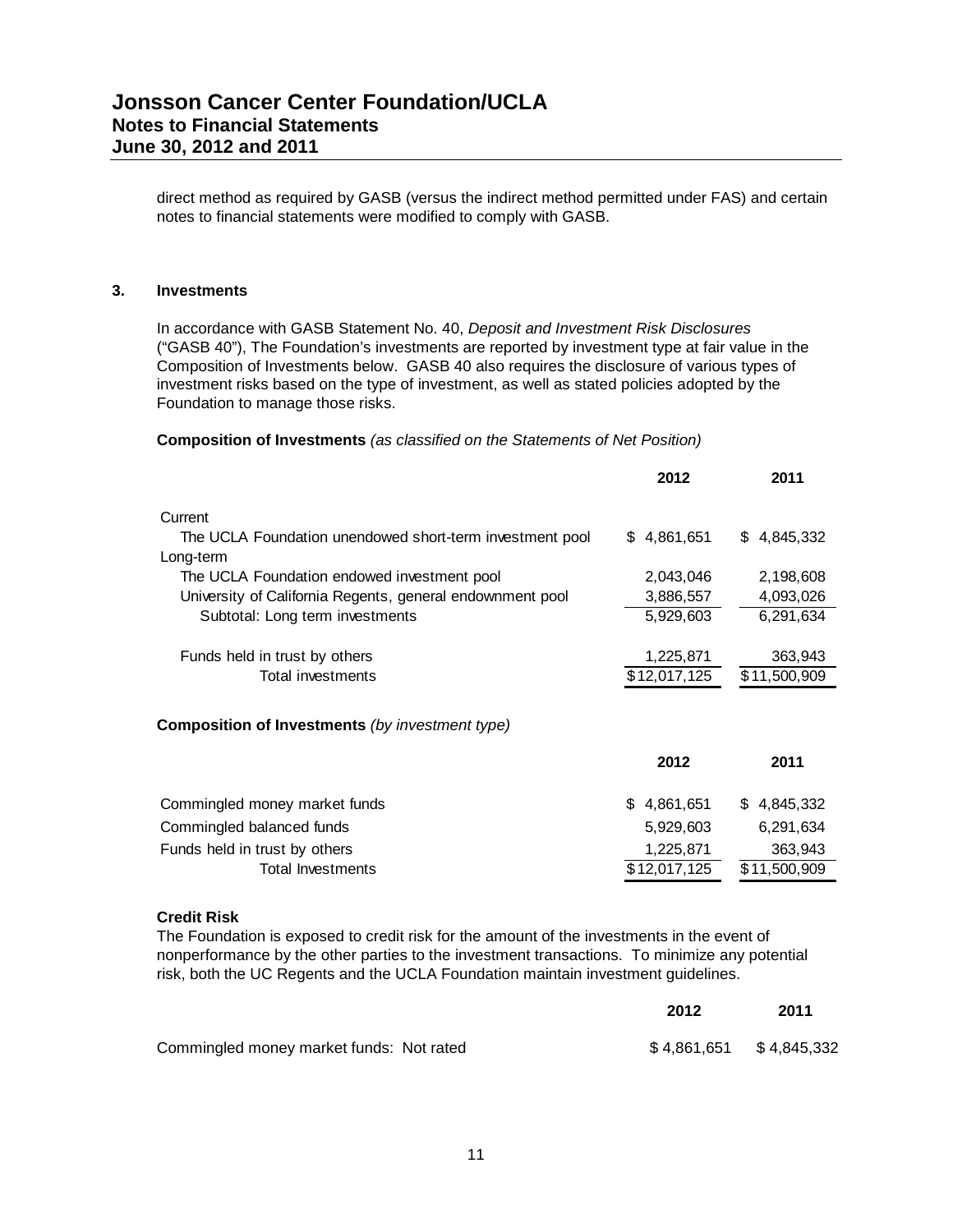direct method as required by GASB (versus the indirect method permitted under FAS) and certain notes to financial statements were modified to comply with GASB.

#### **3. Investments**

In accordance with GASB Statement No. 40, *Deposit and Investment Risk Disclosures* ("GASB 40"), The Foundation's investments are reported by investment type at fair value in the Composition of Investments below. GASB 40 also requires the disclosure of various types of investment risks based on the type of investment, as well as stated policies adopted by the Foundation to manage those risks.

**Composition of Investments** *(as classified on the Statements of Net Position)*

|                                                           | 2012         | 2011            |
|-----------------------------------------------------------|--------------|-----------------|
| Current                                                   |              |                 |
| The UCLA Foundation unendowed short-term investment pool  | \$4,861,651  | \$<br>4,845,332 |
| Long-term                                                 |              |                 |
| The UCLA Foundation endowed investment pool               | 2,043,046    | 2,198,608       |
| University of California Regents, general endownment pool | 3,886,557    | 4,093,026       |
| Subtotal: Long term investments                           | 5,929,603    | 6,291,634       |
|                                                           |              |                 |
| Funds held in trust by others                             | 1,225,871    | 363,943         |
| Total investments                                         | \$12,017,125 | \$11,500,909    |
|                                                           |              |                 |
| <b>Composition of Investments</b> (by investment type)    |              |                 |
|                                                           |              |                 |
|                                                           | 2012         | 2011            |
| Commingled money market funds                             | \$4,861,651  | 4,845,332<br>\$ |
| Commingled balanced funds                                 | 5,929,603    | 6,291,634       |
| Funds held in trust by others                             | 1,225,871    | 363,943         |
| <b>Total Investments</b>                                  | \$12,017,125 | \$11,500,909    |

#### **Credit Risk**

The Foundation is exposed to credit risk for the amount of the investments in the event of nonperformance by the other parties to the investment transactions. To minimize any potential risk, both the UC Regents and the UCLA Foundation maintain investment guidelines.

|                                          | 2012                    | 2011 |
|------------------------------------------|-------------------------|------|
| Commingled money market funds: Not rated | \$4,861,651 \$4,845,332 |      |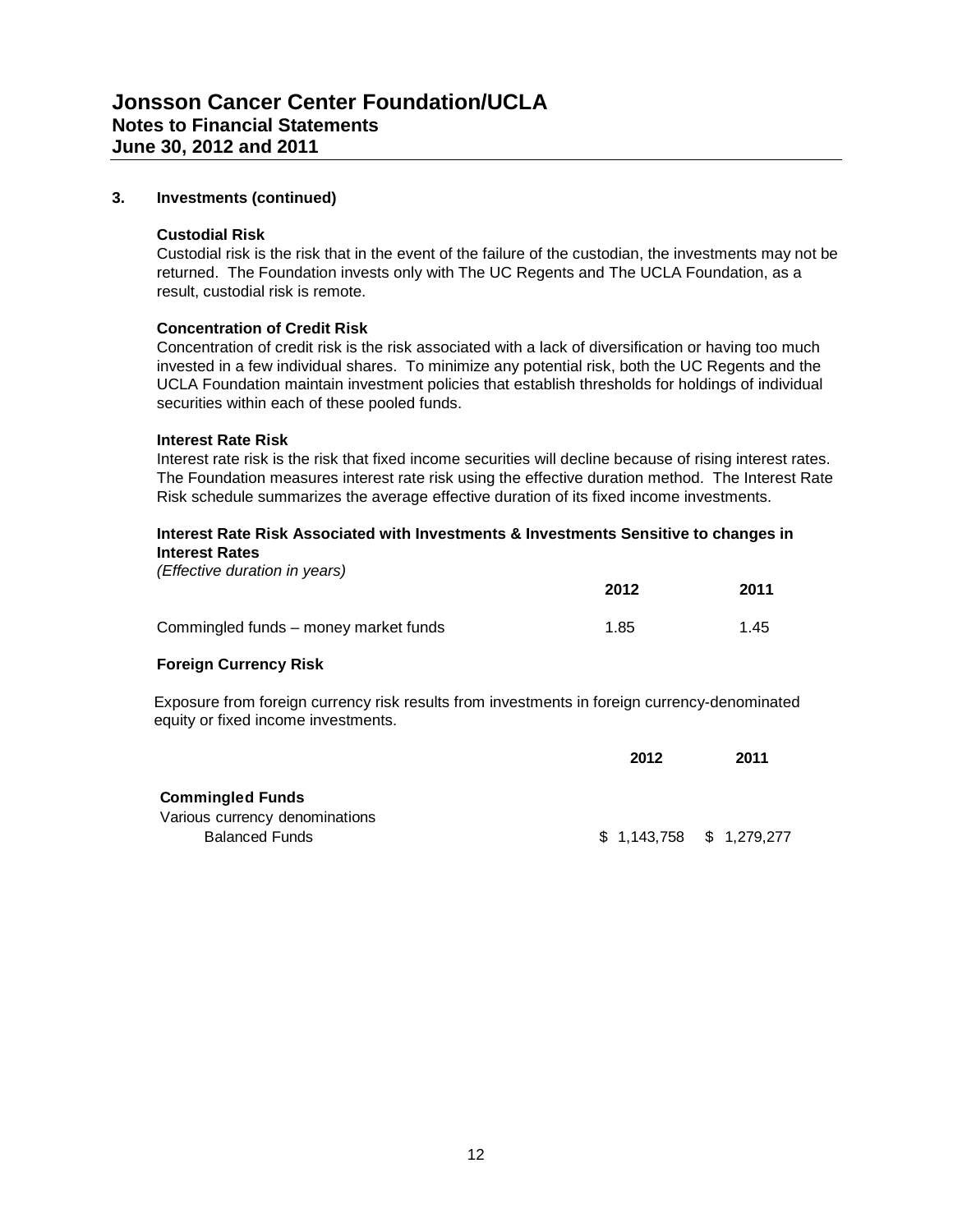#### **3. Investments (continued)**

#### **Custodial Risk**

Custodial risk is the risk that in the event of the failure of the custodian, the investments may not be returned. The Foundation invests only with The UC Regents and The UCLA Foundation, as a result, custodial risk is remote.

#### **Concentration of Credit Risk**

Concentration of credit risk is the risk associated with a lack of diversification or having too much invested in a few individual shares. To minimize any potential risk, both the UC Regents and the UCLA Foundation maintain investment policies that establish thresholds for holdings of individual securities within each of these pooled funds.

#### **Interest Rate Risk**

Interest rate risk is the risk that fixed income securities will decline because of rising interest rates. The Foundation measures interest rate risk using the effective duration method. The Interest Rate Risk schedule summarizes the average effective duration of its fixed income investments.

#### **Interest Rate Risk Associated with Investments & Investments Sensitive to changes in Interest Rates** *(Effective duration in years)*

| <u>ILIIGUUVE UUIDUUI III VERISI</u>   | 2012 | 2011 |
|---------------------------------------|------|------|
| Commingled funds – money market funds | 1.85 | 1.45 |

#### **Foreign Currency Risk**

Exposure from foreign currency risk results from investments in foreign currency-denominated equity or fixed income investments.

|                                | 2012 | 2011                    |
|--------------------------------|------|-------------------------|
| <b>Commingled Funds</b>        |      |                         |
| Various currency denominations |      |                         |
| <b>Balanced Funds</b>          |      | \$1,143,758 \$1,279,277 |